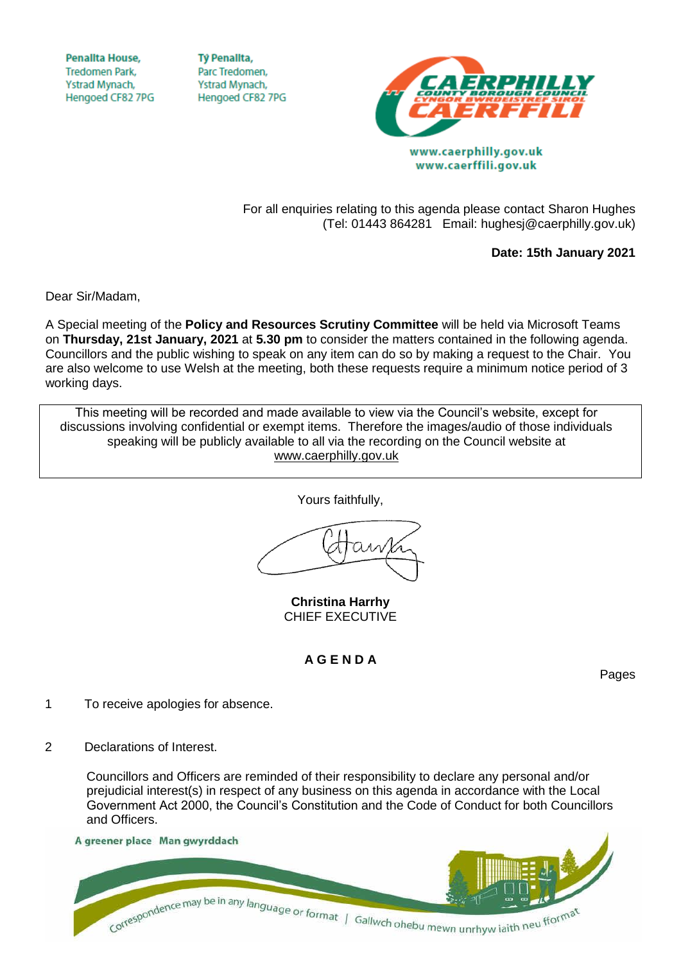**Penallta House, Tredomen Park.** Ystrad Mynach, Hengoed CF82 7PG

**TV Penallta,** Parc Tredomen. Ystrad Mynach, Hengoed CF82 7PG



For all enquiries relating to this agenda please contact Sharon Hughes (Tel: 01443 864281 Email: hughesj@caerphilly.gov.uk)

**Date: 15th January 2021**

Dear Sir/Madam,

A Special meeting of the **Policy and Resources Scrutiny Committee** will be held via Microsoft Teams on **Thursday, 21st January, 2021** at **5.30 pm** to consider the matters contained in the following agenda. Councillors and the public wishing to speak on any item can do so by making a request to the Chair. You are also welcome to use Welsh at the meeting, both these requests require a minimum notice period of 3 working days.

This meeting will be recorded and made available to view via the Council's website, except for discussions involving confidential or exempt items. Therefore the images/audio of those individuals speaking will be publicly available to all via the recording on the Council website at [www.caerphilly.gov.uk](http://www.caerphilly.gov.uk/)

Yours faithfully,

**Christina Harrhy** CHIEF EXECUTIVE

## **A G E N D A**

Pages

- 1 To receive apologies for absence.
- 2 Declarations of Interest.

Councillors and Officers are reminded of their responsibility to declare any personal and/or prejudicial interest(s) in respect of any business on this agenda in accordance with the Local Government Act 2000, the Council's Constitution and the Code of Conduct for both Councillors and Officers.

## A greener place Man gwyrddach